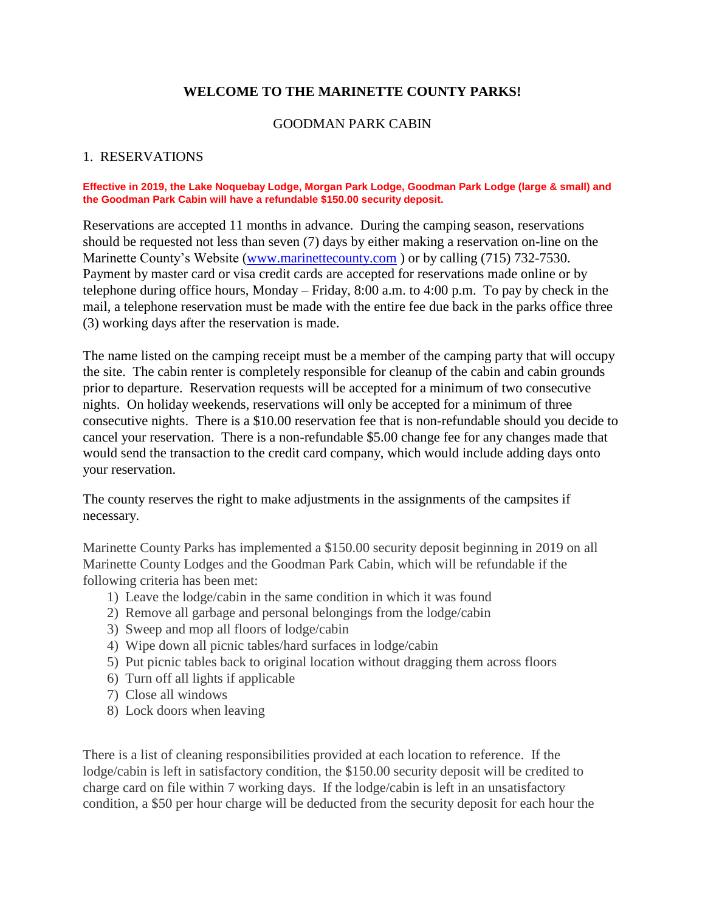#### **WELCOME TO THE MARINETTE COUNTY PARKS!**

#### GOODMAN PARK CABIN

#### 1. RESERVATIONS

#### **Effective in 2019, the Lake Noquebay Lodge, Morgan Park Lodge, Goodman Park Lodge (large & small) and the Goodman Park Cabin will have a refundable \$150.00 security deposit.**

Reservations are accepted 11 months in advance. During the camping season, reservations should be requested not less than seven (7) days by either making a reservation on-line on the Marinette County's Website [\(www.marinettecounty.com](http://www.marinettecounty.com/) ) or by calling (715) 732-7530. Payment by master card or visa credit cards are accepted for reservations made online or by telephone during office hours, Monday – Friday, 8:00 a.m. to 4:00 p.m. To pay by check in the mail, a telephone reservation must be made with the entire fee due back in the parks office three (3) working days after the reservation is made.

The name listed on the camping receipt must be a member of the camping party that will occupy the site. The cabin renter is completely responsible for cleanup of the cabin and cabin grounds prior to departure. Reservation requests will be accepted for a minimum of two consecutive nights. On holiday weekends, reservations will only be accepted for a minimum of three consecutive nights. There is a \$10.00 reservation fee that is non-refundable should you decide to cancel your reservation. There is a non-refundable \$5.00 change fee for any changes made that would send the transaction to the credit card company, which would include adding days onto your reservation.

The county reserves the right to make adjustments in the assignments of the campsites if necessary.

Marinette County Parks has implemented a \$150.00 security deposit beginning in 2019 on all Marinette County Lodges and the Goodman Park Cabin, which will be refundable if the following criteria has been met:

- 1) Leave the lodge/cabin in the same condition in which it was found
- 2) Remove all garbage and personal belongings from the lodge/cabin
- 3) Sweep and mop all floors of lodge/cabin
- 4) Wipe down all picnic tables/hard surfaces in lodge/cabin
- 5) Put picnic tables back to original location without dragging them across floors
- 6) Turn off all lights if applicable
- 7) Close all windows
- 8) Lock doors when leaving

There is a list of cleaning responsibilities provided at each location to reference. If the lodge/cabin is left in satisfactory condition, the \$150.00 security deposit will be credited to charge card on file within 7 working days. If the lodge/cabin is left in an unsatisfactory condition, a \$50 per hour charge will be deducted from the security deposit for each hour the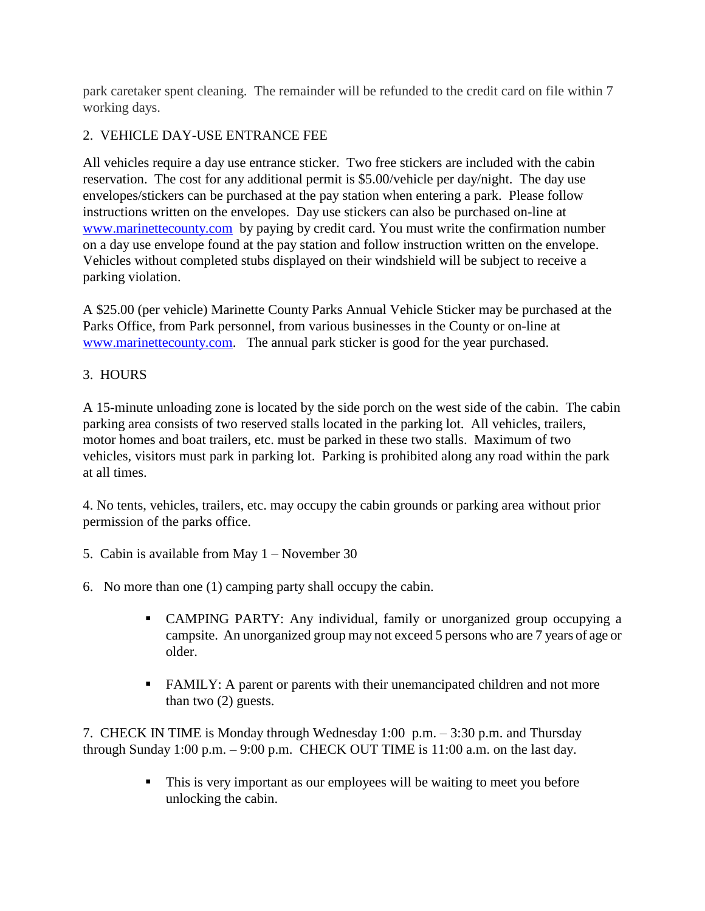park caretaker spent cleaning. The remainder will be refunded to the credit card on file within 7 working days.

# 2. VEHICLE DAY-USE ENTRANCE FEE

All vehicles require a day use entrance sticker. Two free stickers are included with the cabin reservation. The cost for any additional permit is \$5.00/vehicle per day/night. The day use envelopes/stickers can be purchased at the pay station when entering a park. Please follow instructions written on the envelopes. Day use stickers can also be purchased on-line at [www.marinettecounty.com](http://www.marinettecounty.com/) by paying by credit card. You must write the confirmation number on a day use envelope found at the pay station and follow instruction written on the envelope. Vehicles without completed stubs displayed on their windshield will be subject to receive a parking violation.

A \$25.00 (per vehicle) Marinette County Parks Annual Vehicle Sticker may be purchased at the Parks Office, from Park personnel, from various businesses in the County or on-line at [www.marinettecounty.com.](http://www.marinettecounty.com/) The annual park sticker is good for the year purchased.

# 3. HOURS

A 15-minute unloading zone is located by the side porch on the west side of the cabin. The cabin parking area consists of two reserved stalls located in the parking lot. All vehicles, trailers, motor homes and boat trailers, etc. must be parked in these two stalls. Maximum of two vehicles, visitors must park in parking lot. Parking is prohibited along any road within the park at all times.

4. No tents, vehicles, trailers, etc. may occupy the cabin grounds or parking area without prior permission of the parks office.

- 5. Cabin is available from May 1 November 30
- 6. No more than one (1) camping party shall occupy the cabin.
	- CAMPING PARTY: Any individual, family or unorganized group occupying a campsite. An unorganized group may not exceed 5 persons who are 7 years of age or older.
	- FAMILY: A parent or parents with their unemancipated children and not more than two (2) guests.

7. CHECK IN TIME is Monday through Wednesday 1:00 p.m. – 3:30 p.m. and Thursday through Sunday 1:00 p.m.  $-$  9:00 p.m. CHECK OUT TIME is 11:00 a.m. on the last day.

> This is very important as our employees will be waiting to meet you before unlocking the cabin.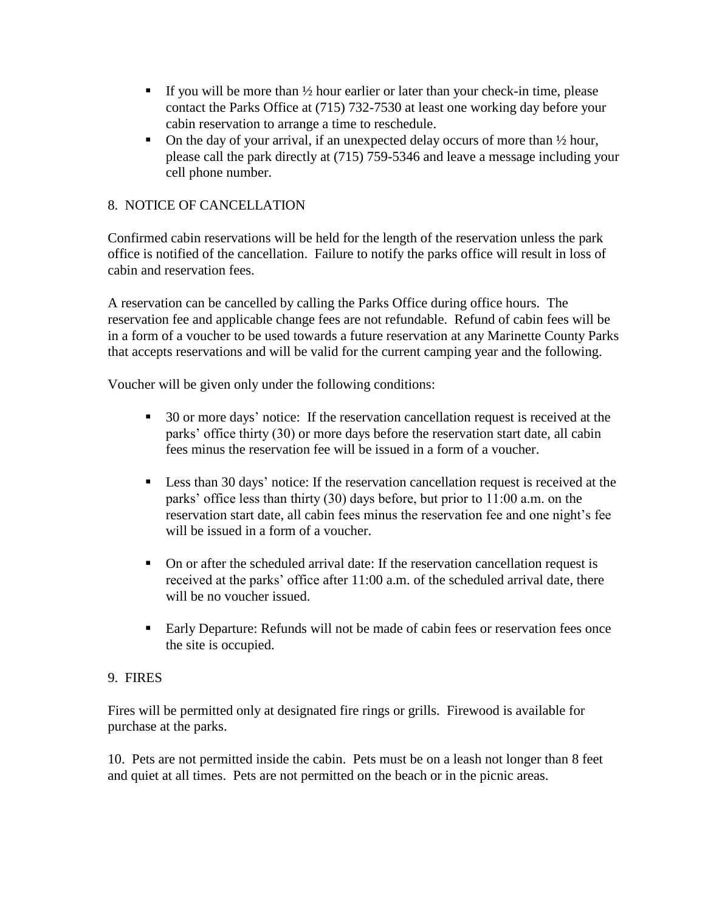- If you will be more than  $\frac{1}{2}$  hour earlier or later than your check-in time, please contact the Parks Office at (715) 732-7530 at least one working day before your cabin reservation to arrange a time to reschedule.
- On the day of your arrival, if an unexpected delay occurs of more than  $\frac{1}{2}$  hour, please call the park directly at (715) 759-5346 and leave a message including your cell phone number.

## 8. NOTICE OF CANCELLATION

Confirmed cabin reservations will be held for the length of the reservation unless the park office is notified of the cancellation. Failure to notify the parks office will result in loss of cabin and reservation fees.

A reservation can be cancelled by calling the Parks Office during office hours. The reservation fee and applicable change fees are not refundable. Refund of cabin fees will be in a form of a voucher to be used towards a future reservation at any Marinette County Parks that accepts reservations and will be valid for the current camping year and the following.

Voucher will be given only under the following conditions:

- 30 or more days' notice: If the reservation cancellation request is received at the parks' office thirty (30) or more days before the reservation start date, all cabin fees minus the reservation fee will be issued in a form of a voucher.
- **Less than 30 days' notice:** If the reservation cancellation request is received at the parks' office less than thirty (30) days before, but prior to 11:00 a.m. on the reservation start date, all cabin fees minus the reservation fee and one night's fee will be issued in a form of a voucher.
- On or after the scheduled arrival date: If the reservation cancellation request is received at the parks' office after 11:00 a.m. of the scheduled arrival date, there will be no voucher issued.
- Early Departure: Refunds will not be made of cabin fees or reservation fees once the site is occupied.

#### 9. FIRES

Fires will be permitted only at designated fire rings or grills. Firewood is available for purchase at the parks.

10. Pets are not permitted inside the cabin. Pets must be on a leash not longer than 8 feet and quiet at all times. Pets are not permitted on the beach or in the picnic areas.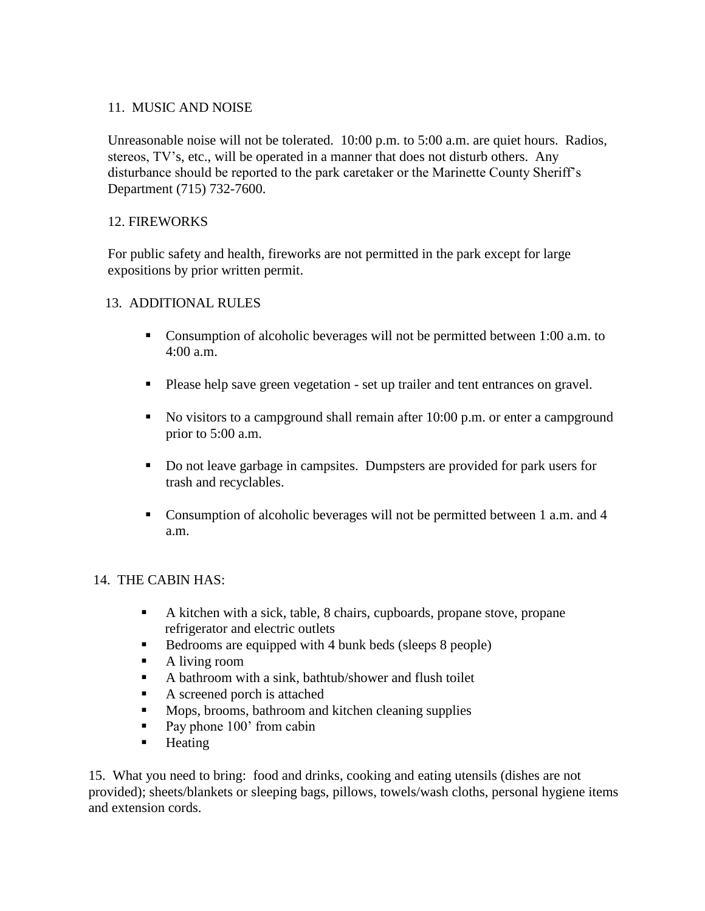#### 11. MUSIC AND NOISE

Unreasonable noise will not be tolerated. 10:00 p.m. to 5:00 a.m. are quiet hours. Radios, stereos, TV's, etc., will be operated in a manner that does not disturb others. Any disturbance should be reported to the park caretaker or the Marinette County Sheriff's Department (715) 732-7600.

## 12. FIREWORKS

For public safety and health, fireworks are not permitted in the park except for large expositions by prior written permit.

#### 13. ADDITIONAL RULES

- Consumption of alcoholic beverages will not be permitted between 1:00 a.m. to 4:00 a.m.
- Please help save green vegetation set up trailer and tent entrances on gravel.
- No visitors to a campground shall remain after 10:00 p.m. or enter a campground prior to 5:00 a.m.
- Do not leave garbage in campsites. Dumpsters are provided for park users for trash and recyclables.
- Consumption of alcoholic beverages will not be permitted between 1 a.m. and 4 a.m.

#### 14. THE CABIN HAS:

- A kitchen with a sick, table, 8 chairs, cupboards, propane stove, propane refrigerator and electric outlets
- Bedrooms are equipped with 4 bunk beds (sleeps 8 people)
- A living room
- A bathroom with a sink, bathtub/shower and flush toilet
- A screened porch is attached
- **Mops, brooms, bathroom and kitchen cleaning supplies**
- Pay phone 100' from cabin
- **Heating**

 15. What you need to bring: food and drinks, cooking and eating utensils (dishes are not provided); sheets/blankets or sleeping bags, pillows, towels/wash cloths, personal hygiene items and extension cords.